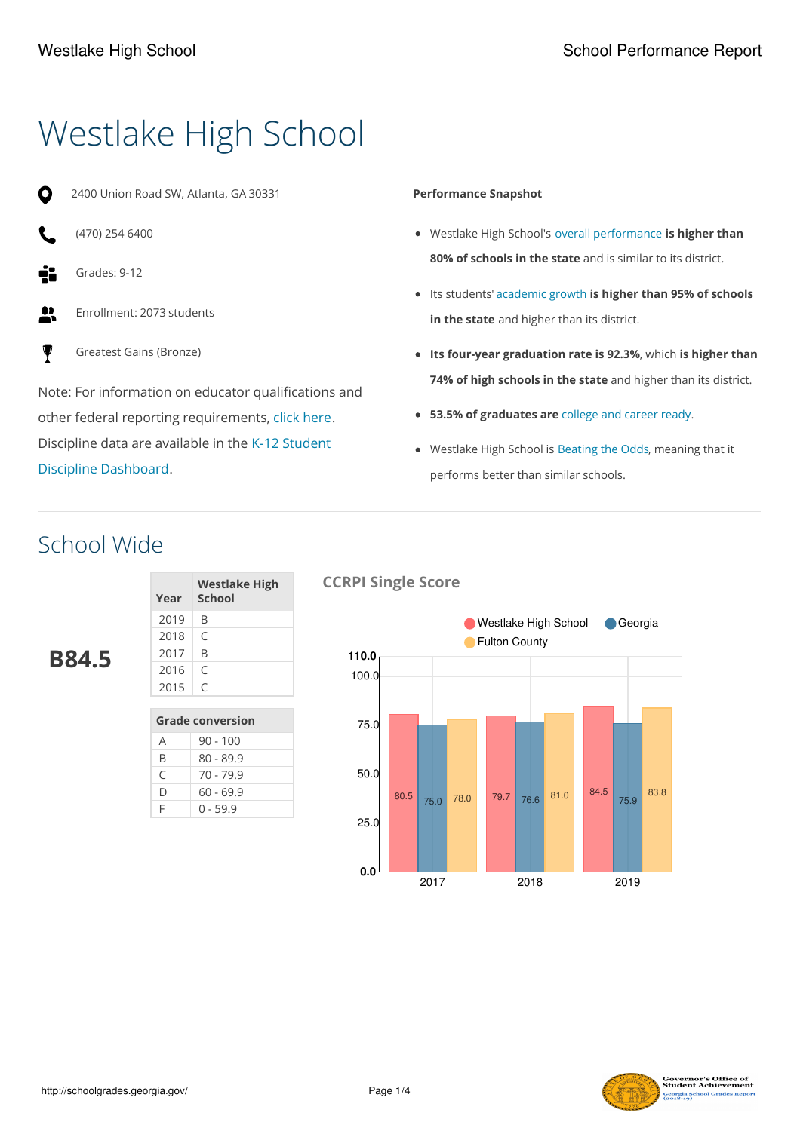# Westlake High School

- 2400 Union Road SW, Atlanta, GA 30331
- (470) 254 6400
- Grades: 9-12
- $<sup>1</sup>$ </sup> Enrollment: 2073 students
- ψ Greatest Gains (Bronze)

Note: For information on educator qualifications and other federal reporting requirements, click [here](https://gosa.georgia.gov/report-card). Discipline data are available in the K-12 Student Discipline [Dashboard.](https://public.gosa.ga.gov/noauth/extensions/DisciplineDASHV1/DisciplineDASHV1.html)

#### **Performance Snapshot**

- Westlake High School's overall performance **is higher than 80% of schools in the state** and is similar to its district.
- Its students' academic growth **is higher than 95% of schools in the state** and higher than its district.
- **Its four-year graduation rate is 92.3%**, which **is higher than 74% of high schools in the state** and higher than its district.
- **53.5% of graduates are** college and career ready.
- Westlake High School is Beating the Odds, meaning that it performs better than similar schools.

# School Wide

**B84.5**

| Year | <b>Westlake High</b><br><b>School</b> |
|------|---------------------------------------|
| 2019 | B                                     |
| 2018 | C                                     |
| 2017 | B                                     |
| 2016 | C                                     |
| 2015 | C                                     |
|      |                                       |

| <b>Grade conversion</b> |             |  |
|-------------------------|-------------|--|
| А                       | $90 - 100$  |  |
| R                       | $80 - 89.9$ |  |
| C                       | 70 - 79.9   |  |
| D                       | 60 - 69.9   |  |
| E                       | 0 - 59.9    |  |

#### **CCRPI Single Score**



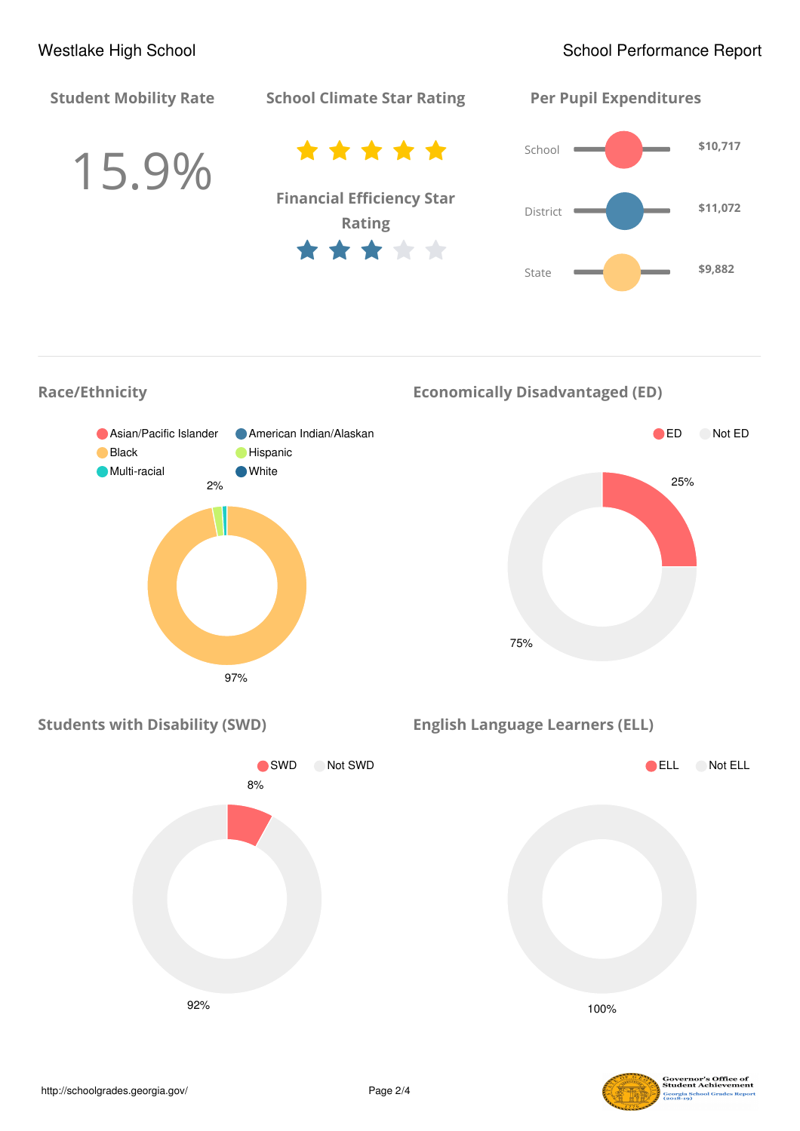

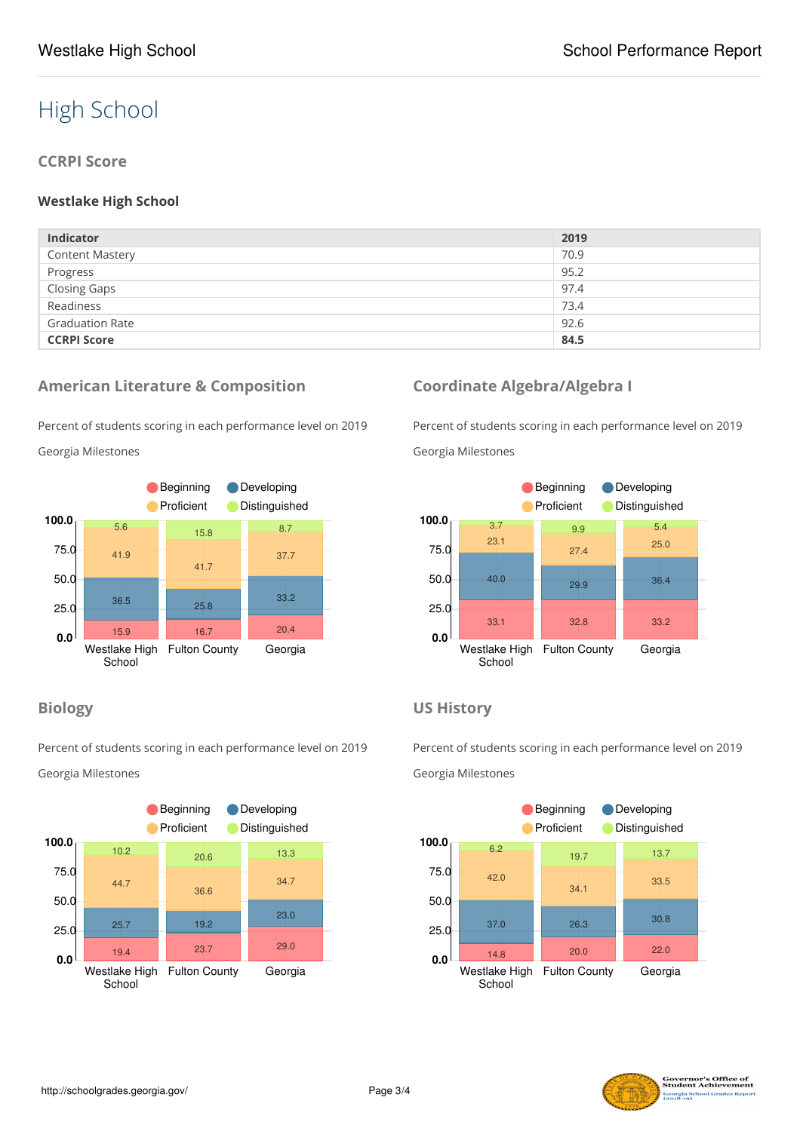# High School

#### **CCRPI Score**

#### **Westlake High School**

| <b>Indicator</b>       | 2019 |
|------------------------|------|
| <b>Content Mastery</b> | 70.9 |
| Progress               | 95.2 |
| <b>Closing Gaps</b>    | 97.4 |
| Readiness              | 73.4 |
| <b>Graduation Rate</b> | 92.6 |
| <b>CCRPI Score</b>     | 84.5 |

#### **American Literature & Composition**

Percent of students scoring in each performance level on 2019

Georgia Milestones



#### **Biology**

Percent of students scoring in each performance level on 2019 Georgia Milestones



### **Coordinate Algebra/Algebra I**

Percent of students scoring in each performance level on 2019 Georgia Milestones



#### **US History**

Percent of students scoring in each performance level on 2019 Georgia Milestones